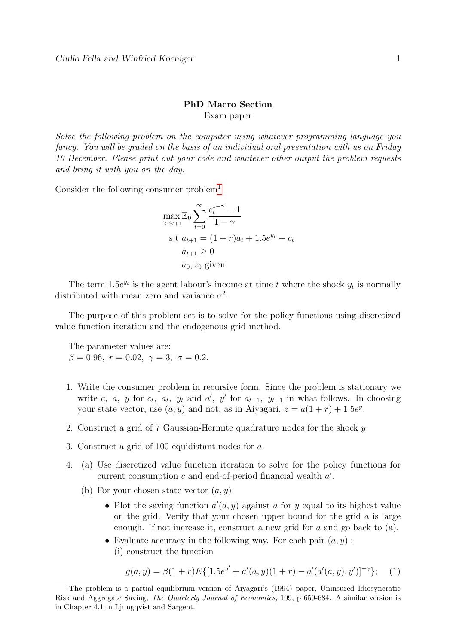## PhD Macro Section Exam paper

Solve the following problem on the computer using whatever programming language you fancy. You will be graded on the basis of an individual oral presentation with us on Friday 10 December. Please print out your code and whatever other output the problem requests and bring it with you on the day.

Consider the following consumer problem<sup>[1](#page-0-0)</sup>

$$
\max_{c_t, a_{t+1}} \mathbb{E}_0 \sum_{t=0}^{\infty} \frac{c_t^{1-\gamma} - 1}{1 - \gamma}
$$
  
s.t  $a_{t+1} = (1 + r)a_t + 1.5e^{y_t} - c_t$   
 $a_{t+1} \ge 0$   
 $a_0, z_0$  given.

The term 1.5 $e^{y_t}$  is the agent labour's income at time t where the shock  $y_t$  is normally distributed with mean zero and variance  $\sigma^2$ .

The purpose of this problem set is to solve for the policy functions using discretized value function iteration and the endogenous grid method.

The parameter values are:  $β = 0.96, r = 0.02, γ = 3, σ = 0.2.$ 

- 1. Write the consumer problem in recursive form. Since the problem is stationary we write c, a, y for  $c_t$ ,  $a_t$ ,  $y_t$  and  $a'$ ,  $y'$  for  $a_{t+1}$ ,  $y_{t+1}$  in what follows. In choosing your state vector, use  $(a, y)$  and not, as in Aiyagari,  $z = a(1 + r) + 1.5e^y$ .
- 2. Construct a grid of 7 Gaussian-Hermite quadrature nodes for the shock y.
- 3. Construct a grid of 100 equidistant nodes for a.
- 4. (a) Use discretized value function iteration to solve for the policy functions for current consumption  $c$  and end-of-period financial wealth  $a'$ .
	- (b) For your chosen state vector  $(a, y)$ :
		- Plot the saving function  $a'(a, y)$  against a for y equal to its highest value on the grid. Verify that your chosen upper bound for the grid  $\alpha$  is large enough. If not increase it, construct a new grid for a and go back to (a).
		- Evaluate accuracy in the following way. For each pair  $(a, y)$ : (i) construct the function

$$
g(a, y) = \beta(1+r)E\{[1.5e^{y'} + a'(a, y)(1+r) - a'(a'(a, y), y')]^{-\gamma}\};\tag{1}
$$

<span id="page-0-0"></span><sup>&</sup>lt;sup>1</sup>The problem is a partial equilibrium version of Aiyagari's (1994) paper, Uninsured Idiosyncratic Risk and Aggregate Saving, The Quarterly Journal of Economics, 109, p 659-684. A similar version is in Chapter 4.1 in Ljungqvist and Sargent.